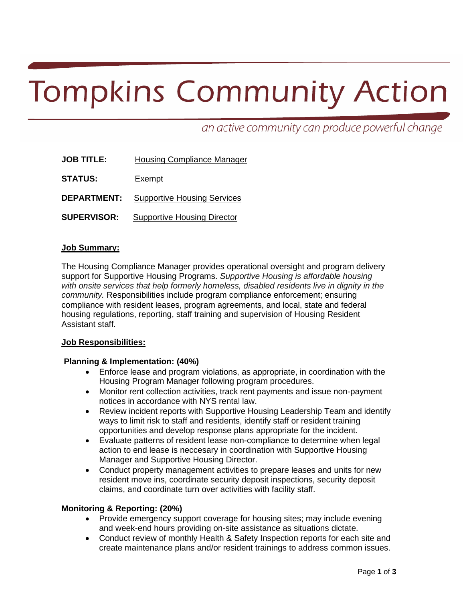# **Tompkins Community Action**

an active community can produce powerful change

| <b>JOB TITLE:</b>  | <b>Housing Compliance Manager</b>  |
|--------------------|------------------------------------|
| <b>STATUS:</b>     | Exempt                             |
| <b>DEPARTMENT:</b> | <b>Supportive Housing Services</b> |

**SUPERVISOR:** Supportive Housing Director

### **Job Summary:**

The Housing Compliance Manager provides operational oversight and program delivery support for Supportive Housing Programs. *Supportive Housing is affordable housing with onsite services that help formerly homeless, disabled residents live in dignity in the community.* Responsibilities include program compliance enforcement; ensuring compliance with resident leases, program agreements, and local, state and federal housing regulations, reporting, staff training and supervision of Housing Resident Assistant staff.

#### **Job Responsibilities:**

#### **Planning & Implementation: (40%)**

- Enforce lease and program violations, as appropriate, in coordination with the Housing Program Manager following program procedures.
- Monitor rent collection activities, track rent payments and issue non-payment notices in accordance with NYS rental law.
- Review incident reports with Supportive Housing Leadership Team and identify ways to limit risk to staff and residents, identify staff or resident training opportunities and develop response plans appropriate for the incident.
- Evaluate patterns of resident lease non-compliance to determine when legal action to end lease is neccesary in coordination with Supportive Housing Manager and Supportive Housing Director.
- Conduct property management activities to prepare leases and units for new resident move ins, coordinate security deposit inspections, security deposit claims, and coordinate turn over activities with facility staff.

# **Monitoring & Reporting: (20%)**

- Provide emergency support coverage for housing sites; may include evening and week-end hours providing on-site assistance as situations dictate.
- Conduct review of monthly Health & Safety Inspection reports for each site and create maintenance plans and/or resident trainings to address common issues.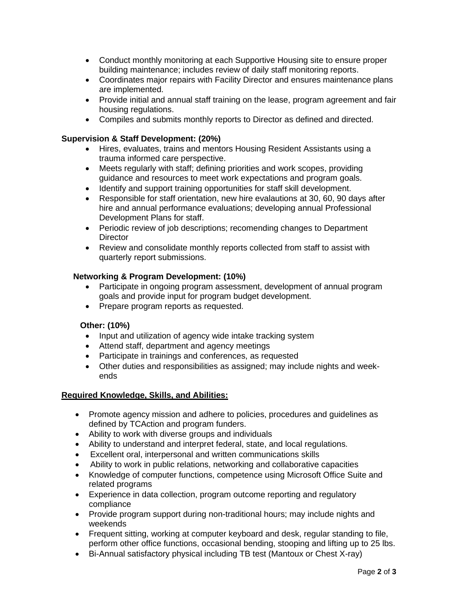- Conduct monthly monitoring at each Supportive Housing site to ensure proper building maintenance; includes review of daily staff monitoring reports.
- Coordinates major repairs with Facility Director and ensures maintenance plans are implemented.
- Provide initial and annual staff training on the lease, program agreement and fair housing regulations.
- Compiles and submits monthly reports to Director as defined and directed.

## **Supervision & Staff Development: (20%)**

- Hires, evaluates, trains and mentors Housing Resident Assistants using a trauma informed care perspective.
- Meets regularly with staff; defining priorities and work scopes, providing guidance and resources to meet work expectations and program goals.
- Identify and support training opportunities for staff skill development.
- Responsible for staff orientation, new hire evalautions at 30, 60, 90 days after hire and annual performance evaluations; developing annual Professional Development Plans for staff.
- Periodic review of job descriptions; recomending changes to Department **Director**
- Review and consolidate monthly reports collected from staff to assist with quarterly report submissions.

# **Networking & Program Development: (10%)**

- Participate in ongoing program assessment, development of annual program goals and provide input for program budget development.
- Prepare program reports as requested.

# **Other: (10%)**

- Input and utilization of agency wide intake tracking system
- Attend staff, department and agency meetings
- Participate in trainings and conferences, as requested
- Other duties and responsibilities as assigned; may include nights and weekends

#### **Required Knowledge, Skills, and Abilities:**

- Promote agency mission and adhere to policies, procedures and guidelines as defined by TCAction and program funders.
- Ability to work with diverse groups and individuals
- Ability to understand and interpret federal, state, and local regulations.
- Excellent oral, interpersonal and written communications skills
- Ability to work in public relations, networking and collaborative capacities
- Knowledge of computer functions, competence using Microsoft Office Suite and related programs
- Experience in data collection, program outcome reporting and regulatory compliance
- Provide program support during non-traditional hours; may include nights and weekends
- Frequent sitting, working at computer keyboard and desk, regular standing to file, perform other office functions, occasional bending, stooping and lifting up to 25 lbs.
- Bi-Annual satisfactory physical including TB test (Mantoux or Chest X-ray)